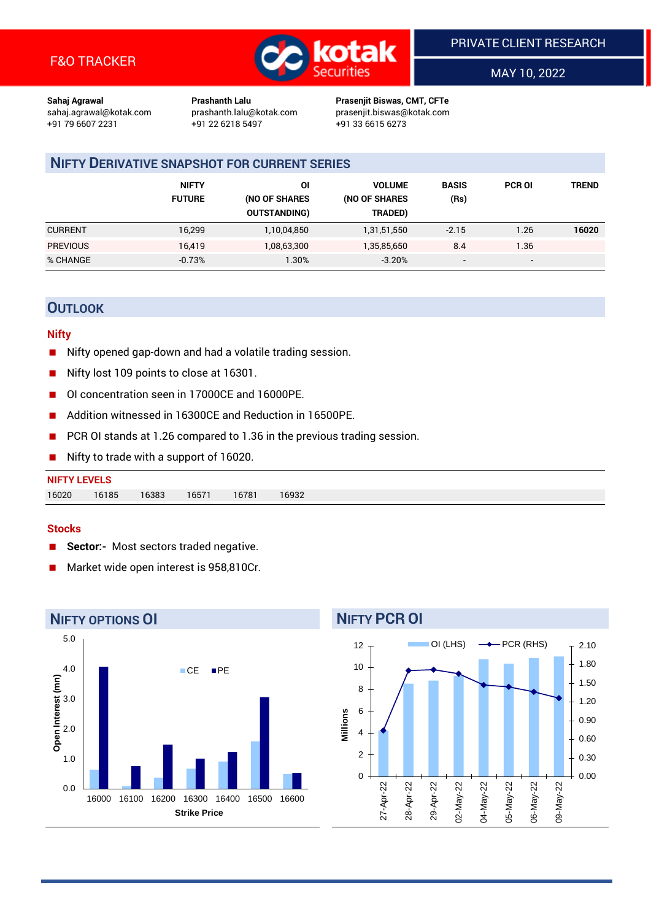

MAY 10, 2022

**Sahaj Agrawal Prashanth Lalu Prasenjit Biswas, CMT, CFTe** +91 22 6218 5497 +91 33 6615 6273

sahaj.agrawal@kotak.com [prashanth.lalu@kotak.com](mailto:prashanth.lalu@kotak.com) prasenjit.biswas@kotak.com

# **NIFTY DERIVATIVE SNAPSHOT FOR CURRENT SERIES**

|                 | <b>NIFTY</b><br><b>FUTURE</b> | ΟI<br>(NO OF SHARES<br><b>OUTSTANDING)</b> | <b>VOLUME</b><br>(NO OF SHARES<br>TRADED) | <b>BASIS</b><br>(Rs)     | <b>PCR OI</b>            | TREND |
|-----------------|-------------------------------|--------------------------------------------|-------------------------------------------|--------------------------|--------------------------|-------|
| <b>CURRENT</b>  | 16,299                        | 1,10,04,850                                | 1,31,51,550                               | $-2.15$                  | 1.26                     | 16020 |
| <b>PREVIOUS</b> | 16.419                        | 1,08,63,300                                | 1,35,85,650                               | 8.4                      | 1.36                     |       |
| % CHANGE        | $-0.73%$                      | $.30\%$                                    | $-3.20%$                                  | $\overline{\phantom{a}}$ | $\overline{\phantom{0}}$ |       |

# **OUTLOOK**

### **Nifty**

- Nifty opened gap-down and had a volatile trading session.
- Nifty lost 109 points to close at 16301.
- OI concentration seen in 17000CE and 16000PE.
- Addition witnessed in 16300CE and Reduction in 16500PE.
- PCR OI stands at 1.26 compared to 1.36 in the previous trading session.
- Nifty to trade with a support of 16020.

| 16020<br>16185 | <b>NIFTY LEVELS</b> |                |       |       |  |
|----------------|---------------------|----------------|-------|-------|--|
|                |                     | 16571<br>16383 | 16781 | 16932 |  |

#### **Stocks**

- **Sector:-** Most sectors traded negative.
- Market wide open interest is 958,810Cr.



# **NIFTY PCR OI**

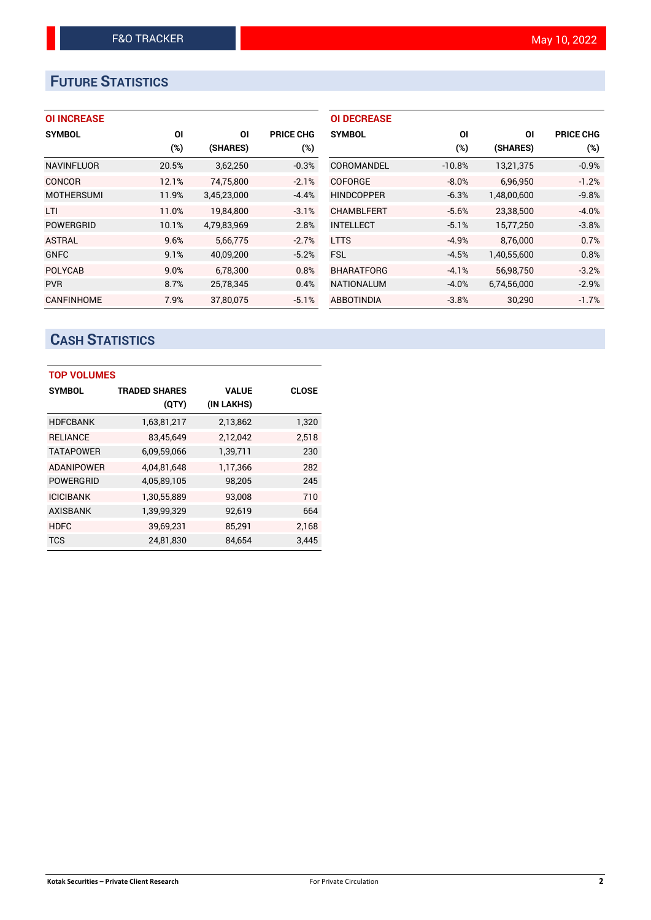# **FUTURE STATISTICS**

# **OI INCREASE**

| <b>SYMBOL</b>     | OI     | ΟI          | <b>PRICE CHG</b> |
|-------------------|--------|-------------|------------------|
|                   | $(\%)$ | (SHARES)    | (%)              |
| <b>NAVINFLUOR</b> | 20.5%  | 3,62,250    | $-0.3%$          |
| <b>CONCOR</b>     | 12.1%  | 74,75,800   | $-2.1%$          |
| <b>MOTHERSUMI</b> | 11.9%  | 3,45,23,000 | $-4.4%$          |
| LTI               | 11.0%  | 19.84.800   | $-3.1%$          |
| <b>POWERGRID</b>  | 10.1%  | 4,79,83,969 | 2.8%             |
| <b>ASTRAL</b>     | 9.6%   | 5,66,775    | $-2.7%$          |
| <b>GNFC</b>       | 9.1%   | 40,09,200   | $-5.2%$          |
| <b>POLYCAB</b>    | 9.0%   | 6,78,300    | 0.8%             |
| <b>PVR</b>        | 8.7%   | 25,78,345   | 0.4%             |
| <b>CANFINHOME</b> | 7.9%   | 37.80.075   | $-5.1%$          |

| <b>OI DECREASE</b> |          |             |                  |
|--------------------|----------|-------------|------------------|
| <b>SYMBOL</b>      | ΟI       | ΟI          | <b>PRICE CHG</b> |
|                    | $(\%)$   | (SHARES)    | $(\%)$           |
| COROMANDEL         | $-10.8%$ | 13,21,375   | $-0.9%$          |
| COFORGE            | $-8.0%$  | 6,96,950    | $-1.2%$          |
| <b>HINDCOPPER</b>  | $-6.3%$  | 1,48,00,600 | $-9.8%$          |
| <b>CHAMBLFERT</b>  | $-5.6%$  | 23.38.500   | $-4.0%$          |
| <b>INTELLECT</b>   | $-5.1%$  | 15,77,250   | $-3.8%$          |
| <b>LTTS</b>        | $-4.9%$  | 8.76.000    | 0.7%             |
| <b>FSL</b>         | $-4.5%$  | 1,40,55,600 | 0.8%             |
| <b>BHARATFORG</b>  | $-4.1%$  | 56,98,750   | $-3.2%$          |
| <b>NATIONALUM</b>  | $-4.0\%$ | 6,74,56,000 | $-2.9%$          |
| <b>ABBOTINDIA</b>  | $-3.8%$  | 30,290      | $-1.7%$          |

# **CASH STATISTICS**

| <b>TOP VOLUMES</b> |                      |              |              |  |  |  |  |  |
|--------------------|----------------------|--------------|--------------|--|--|--|--|--|
| <b>SYMBOL</b>      | <b>TRADED SHARES</b> | <b>VALUE</b> | <b>CLOSE</b> |  |  |  |  |  |
|                    | (QTY)                | (IN LAKHS)   |              |  |  |  |  |  |
| <b>HDFCBANK</b>    | 1,63,81,217          | 2,13,862     | 1,320        |  |  |  |  |  |
| <b>RELIANCE</b>    | 83,45,649            | 2,12,042     | 2,518        |  |  |  |  |  |
| <b>TATAPOWER</b>   | 6,09,59,066          | 1,39,711     | 230          |  |  |  |  |  |
| <b>ADANIPOWER</b>  | 4,04,81,648          | 1,17,366     | 282          |  |  |  |  |  |
| <b>POWERGRID</b>   | 4,05,89,105          | 98,205       | 245          |  |  |  |  |  |
| <b>ICICIBANK</b>   | 1,30,55,889          | 93,008       | 710          |  |  |  |  |  |
| <b>AXISBANK</b>    | 1,39,99,329          | 92,619       | 664          |  |  |  |  |  |
| <b>HDFC</b>        | 39,69,231            | 85,291       | 2,168        |  |  |  |  |  |
| <b>TCS</b>         | 24,81,830            | 84,654       | 3,445        |  |  |  |  |  |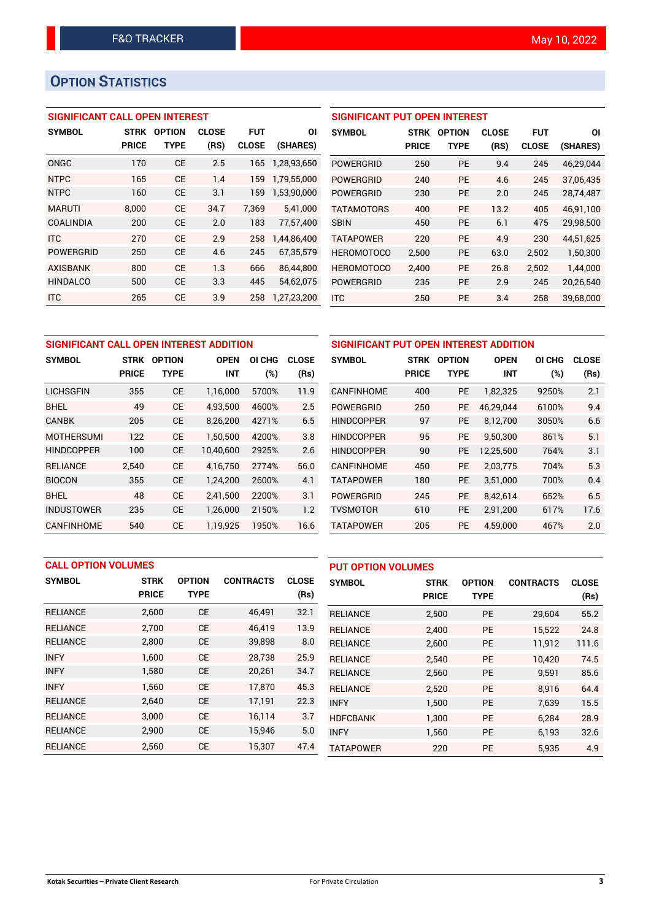# **OPTION STATISTICS**

# **SIGNIFICANT CALL OPEN INTEREST**

| <b>SYMBOL</b>    | <b>STRK</b>  | <b>OPTION</b> | <b>CLOSE</b> | <b>FUT</b>   | ΟI          |
|------------------|--------------|---------------|--------------|--------------|-------------|
|                  | <b>PRICE</b> | TYPE          | (RS)         | <b>CLOSE</b> | (SHARES)    |
| ONGC             | 170          | <b>CE</b>     | 2.5          | 165          | 1,28,93,650 |
| <b>NTPC</b>      | 165          | <b>CE</b>     | 1.4          | 159          | 1,79,55,000 |
| <b>NTPC</b>      | 160          | <b>CE</b>     | 3.1          | 159          | 1,53,90,000 |
| <b>MARUTI</b>    | 8.000        | CF            | 34.7         | 7.369        | 5,41,000    |
| <b>COALINDIA</b> | 200          | <b>CE</b>     | 2.0          | 183          | 77.57.400   |
| <b>ITC</b>       | 270          | <b>CE</b>     | 2.9          | 258          | 1,44,86,400 |
| <b>POWERGRID</b> | 250          | <b>CE</b>     | 4.6          | 245          | 67,35,579   |
| <b>AXISBANK</b>  | 800          | <b>CE</b>     | 1.3          | 666          | 86,44,800   |
| <b>HINDALCO</b>  | 500          | <b>CE</b>     | 3.3          | 445          | 54,62,075   |
| <b>ITC</b>       | 265          | <b>CE</b>     | 3.9          | 258          | 1,27,23,200 |

| <b>SIGNIFICANT PUT OPEN INTEREST</b> |             |               |              |              |           |  |  |  |  |
|--------------------------------------|-------------|---------------|--------------|--------------|-----------|--|--|--|--|
| <b>SYMBOL</b>                        | <b>STRK</b> | <b>OPTION</b> | <b>CLOSE</b> | <b>FUT</b>   | ΟI        |  |  |  |  |
|                                      | PRICE       | TYPE          | (RS)         | <b>CLOSE</b> | (SHARES)  |  |  |  |  |
| <b>POWERGRID</b>                     | 250         | <b>PE</b>     | 9.4          | 245          | 46,29,044 |  |  |  |  |
| POWERGRID                            | 240         | <b>PE</b>     | 4.6          | 245          | 37.06.435 |  |  |  |  |
| POWERGRID                            | 230         | <b>PE</b>     | 2.0          | 245          | 28,74,487 |  |  |  |  |
| <b>TATAMOTORS</b>                    | 400         | <b>PE</b>     | 13.2         | 405          | 46,91,100 |  |  |  |  |
| <b>SBIN</b>                          | 450         | <b>PE</b>     | 6.1          | 475          | 29,98,500 |  |  |  |  |
| <b>TATAPOWER</b>                     | 220         | <b>PE</b>     | 4.9          | 230          | 44,51,625 |  |  |  |  |
| <b>HEROMOTOCO</b>                    | 2,500       | <b>PE</b>     | 63.0         | 2,502        | 1,50,300  |  |  |  |  |
| <b>HEROMOTOCO</b>                    | 2.400       | <b>PE</b>     | 26.8         | 2,502        | 1,44,000  |  |  |  |  |
| <b>POWERGRID</b>                     | 235         | <b>PE</b>     | 2.9          | 245          | 20,26,540 |  |  |  |  |
| <b>ITC</b>                           | 250         | <b>PE</b>     | 3.4          | 258          | 39.68.000 |  |  |  |  |

| SIGNIFICANT CALL OPEN INTEREST ADDITION |              |               |             |                  | SIGNIFICANT PUT OPEN INTEREST ADDITION |                   |              |               |             |        |              |
|-----------------------------------------|--------------|---------------|-------------|------------------|----------------------------------------|-------------------|--------------|---------------|-------------|--------|--------------|
| <b>SYMBOL</b>                           | STRK         | <b>OPTION</b> | <b>OPEN</b> | <b>CHG</b><br>ΟI | <b>CLOSE</b>                           | <b>SYMBOL</b>     | <b>STRK</b>  | <b>OPTION</b> | <b>OPEN</b> | OI CHG | <b>CLOSE</b> |
|                                         | <b>PRICE</b> | <b>TYPE</b>   | <b>INT</b>  | (%)              | (Rs)                                   |                   | <b>PRICE</b> | <b>TYPE</b>   | <b>INT</b>  | (%)    | (Rs)         |
| <b>LICHSGFIN</b>                        | 355          | <b>CE</b>     | 1,16,000    | 5700%            | 11.9                                   | <b>CANFINHOME</b> | 400          | <b>PE</b>     | 1,82,325    | 9250%  | 2.1          |
| <b>BHEL</b>                             | 49           | <b>CE</b>     | 4.93.500    | 4600%            | 2.5                                    | <b>POWERGRID</b>  | 250          | <b>PE</b>     | 46.29.044   | 6100%  | 9.4          |
| <b>CANBK</b>                            | 205          | <b>CE</b>     | 8,26,200    | 4271%            | 6.5                                    | <b>HINDCOPPER</b> | 97           | <b>PE</b>     | 8,12,700    | 3050%  | 6.6          |
| <b>MOTHERSUMI</b>                       | 122          | <b>CE</b>     | 1.50.500    | 4200%            | 3.8                                    | <b>HINDCOPPER</b> | 95           | <b>PE</b>     | 9,50,300    | 861%   | 5.1          |
| <b>HINDCOPPER</b>                       | 100          | <b>CE</b>     | 10,40,600   | 2925%            | 2.6                                    | <b>HINDCOPPER</b> | 90           | <b>PE</b>     | 12,25,500   | 764%   | 3.1          |
| <b>RELIANCE</b>                         | 2.540        | <b>CE</b>     | 4.16.750    | 2774%            | 56.0                                   | <b>CANFINHOME</b> | 450          | <b>PE</b>     | 2.03.775    | 704%   | 5.3          |
| <b>BIOCON</b>                           | 355          | <b>CE</b>     | 1.24.200    | 2600%            | 4.1                                    | <b>TATAPOWER</b>  | 180          | <b>PE</b>     | 3,51,000    | 700%   | 0.4          |
| <b>BHEL</b>                             | 48           | <b>CE</b>     | 2,41,500    | 2200%            | 3.1                                    | <b>POWERGRID</b>  | 245          | <b>PE</b>     | 8.42.614    | 652%   | 6.5          |
| <b>INDUSTOWER</b>                       | 235          | <b>CE</b>     | 1,26,000    | 2150%            | 1.2                                    | <b>TVSMOTOR</b>   | 610          | <b>PE</b>     | 2,91,200    | 617%   | 17.6         |
| <b>CANFINHOME</b>                       | 540          | <b>CE</b>     | 1,19,925    | 1950%            | 16.6                                   | TATAPOWER         | 205          | <b>PE</b>     | 4,59,000    | 467%   | 2.0          |

| <b>CALL OPTION VOLUMES</b> |              |               |                  | <b>PUT OPTION VOLUMES</b> |                  |              |               |                  |              |
|----------------------------|--------------|---------------|------------------|---------------------------|------------------|--------------|---------------|------------------|--------------|
| <b>SYMBOL</b>              | <b>STRK</b>  | <b>OPTION</b> | <b>CONTRACTS</b> | <b>CLOSE</b>              | <b>SYMBOL</b>    | <b>STRK</b>  | <b>OPTION</b> | <b>CONTRACTS</b> | <b>CLOSE</b> |
|                            | <b>PRICE</b> | <b>TYPE</b>   |                  | (Rs)                      |                  | <b>PRICE</b> | <b>TYPE</b>   |                  | (Rs)         |
| <b>RELIANCE</b>            | 2,600        | <b>CE</b>     | 46,491           | 32.1                      | <b>RELIANCE</b>  | 2,500        | <b>PE</b>     | 29,604           | 55.2         |
| <b>RELIANCE</b>            | 2.700        | <b>CE</b>     | 46.419           | 13.9                      | <b>RELIANCE</b>  | 2.400        | <b>PE</b>     | 15,522           | 24.8         |
| <b>RELIANCE</b>            | 2,800        | <b>CE</b>     | 39,898           | 8.0                       | <b>RELIANCE</b>  | 2,600        | <b>PE</b>     | 11,912           | 111.6        |
| <b>INFY</b>                | 1,600        | <b>CE</b>     | 28,738           | 25.9                      | <b>RELIANCE</b>  | 2.540        | <b>PE</b>     | 10.420           | 74.5         |
| <b>INFY</b>                | 1,580        | <b>CE</b>     | 20,261           | 34.7                      | <b>RELIANCE</b>  | 2,560        | PE            | 9,591            | 85.6         |
| <b>INFY</b>                | 1.560        | <b>CE</b>     | 17.870           | 45.3                      | <b>RELIANCE</b>  | 2,520        | <b>PE</b>     | 8.916            | 64.4         |
| <b>RELIANCE</b>            | 2.640        | <b>CE</b>     | 17,191           | 22.3                      | <b>INFY</b>      | 1,500        | PE            | 7,639            | 15.5         |
| <b>RELIANCE</b>            | 3.000        | <b>CE</b>     | 16.114           | 3.7                       | <b>HDFCBANK</b>  | 1.300        | <b>PE</b>     | 6.284            | 28.9         |
| <b>RELIANCE</b>            | 2,900        | <b>CE</b>     | 15,946           | 5.0                       | <b>INFY</b>      | 1,560        | <b>PE</b>     | 6,193            | 32.6         |
| <b>RELIANCE</b>            | 2,560        | <b>CE</b>     | 15,307           | 47.4                      | <b>TATAPOWER</b> | 220          | <b>PE</b>     | 5,935            | 4.9          |

### **Kotak Securities – Private Client Research** For Private Circulation **3**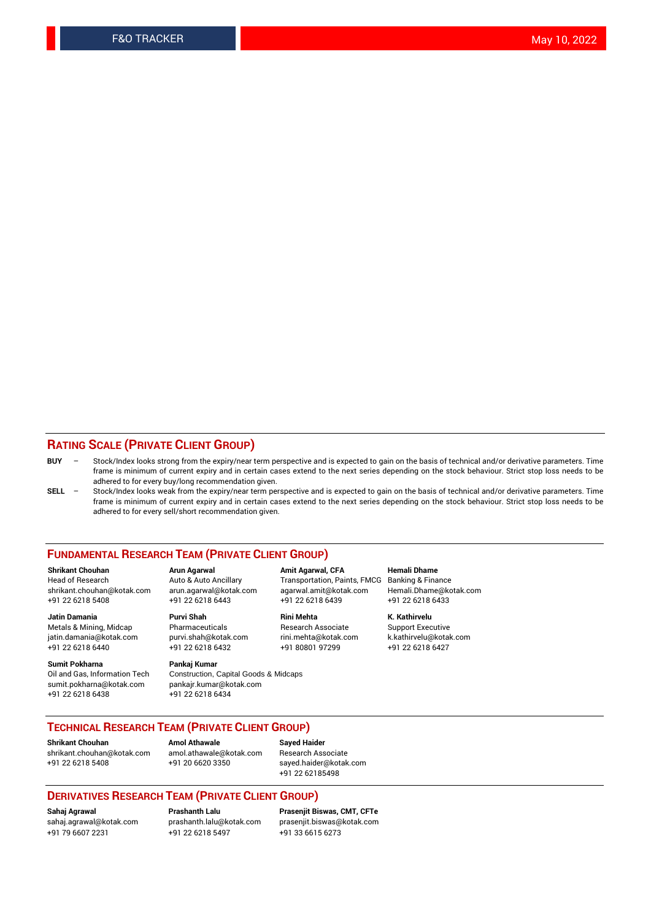## **RATING SCALE (PRIVATE CLIENT GROUP)**

- **BUY**  Stock/Index looks strong from the expiry/near term perspective and is expected to gain on the basis of technical and/or derivative parameters. Time frame is minimum of current expiry and in certain cases extend to the next series depending on the stock behaviour. Strict stop loss needs to be adhered to for every buy/long recommendation given.
- **SELL** Stock/Index looks weak from the expiry/near term perspective and is expected to gain on the basis of technical and/or derivative parameters. Time frame is minimum of current expiry and in certain cases extend to the next series depending on the stock behaviour. Strict stop loss needs to be adhered to for every sell/short recommendation given.

#### **FUNDAMENTAL RESEARCH TEAM (PRIVATE CLIENT GROUP)**

**Shrikant Chouhan Arun Agarwal Amit Agarwal, CFA Hemali Dhame** shrikant.chouhan@kotak.com arun.agarwal@kotak.com agarwal.amit@kotak.com Hemali.Dhame@kotak.com +91 22 6218 5408 +91 22 6218 6443 +91 22 6218 6439 +91 22 6218 6433

Metals & Mining, Midcap Pharmaceuticals Pharmaceuticals Research Associate Support Executive<br>
iatin.damania@kotak.com purvi.shah@kotak.com rini.mehta@kotak.com k.kathirvelu@kotak.com jatin.damania@kotak.com

**Sumit Pokharna** Pankaj Kumar<br>Oil and Gas, Information Tech Construction, sumit.pokharna@kotak.com pankajr.kumar@kotak.com +91 22 6218 6438 +91 22 6218 6434

Construction, Capital Goods & Midcaps

Transportation, Paints, FMCG

**Jatin Damania Purvi Shah Rini Mehta K. Kathirvelu** +91 22 6218 6440 +91 22 6218 6432 +91 80801 97299 +91 22 6218 6427

## **TECHNICAL RESEARCH TEAM (PRIVATE CLIENT GROUP)**

**Shrikant Chouhan Amol Athawale Sayed Haider** [shrikant.chouhan@kotak.com](mailto:shrikant.chouhan@kotak.com) [amol.athawale@kotak.com](mailto:amol.athawale@kotak.com) Research Associate +91 22 6218 5408 +91 20 6620 3350 [sayed.haider@kotak.com](mailto:sayed.haider@kotak.com)

+91 22 62185498

#### **DERIVATIVES RESEARCH TEAM (PRIVATE CLIENT GROUP)**

+91 79 6607 2231 +91 22 6218 5497 +91 33 6615 6273

**Sahaj Agrawal Prashanth Lalu Prasenjit Biswas, CMT, CFTe** [prasenjit.biswas@kotak.com](mailto:prasenjit.biswas@kotak.com)